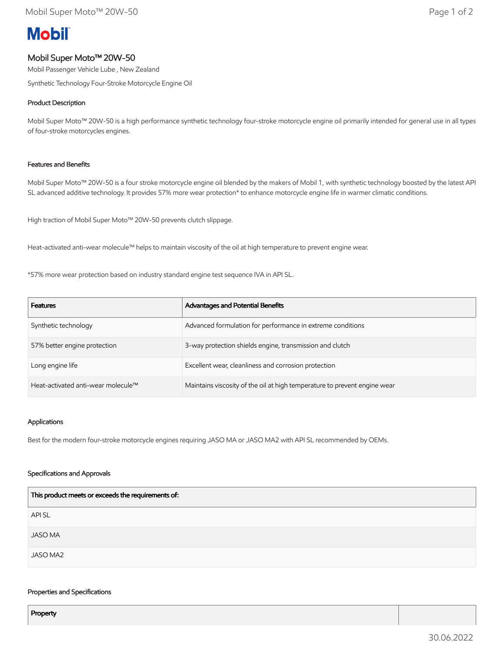# **Mobil**

# Mobil Super Moto™ 20W-50

Mobil Passenger Vehicle Lube , New Zealand Synthetic Technology Four-Stroke Motorcycle Engine Oil

## Product Description

Mobil Super Moto™ 20W-50 is a high performance synthetic technology four-stroke motorcycle engine oil primarily intended for general use in all types of four-stroke motorcycles engines.

## Features and Benefits

Mobil Super Moto™ 20W-50 is a four stroke motorcycle engine oil blended by the makers of Mobil 1, with synthetic technology boosted by the latest API SL advanced additive technology. It provides 57% more wear protection\* to enhance motorcycle engine life in warmer climatic conditions.

High traction of Mobil Super Moto™ 20W-50 prevents clutch slippage.

Heat-activated anti-wear molecule™ helps to maintain viscosity of the oil at high temperature to prevent engine wear.

\*57% more wear protection based on industry standard engine test sequence IVA in API SL.

| <b>Features</b>                    | <b>Advantages and Potential Benefits</b>                                  |
|------------------------------------|---------------------------------------------------------------------------|
| Synthetic technology               | Advanced formulation for performance in extreme conditions                |
| 57% better engine protection       | 3-way protection shields engine, transmission and clutch                  |
| Long engine life                   | Excellent wear, cleanliness and corrosion protection                      |
| Heat-activated anti-wear molecule™ | Maintains viscosity of the oil at high temperature to prevent engine wear |

## Applications

Best for the modern four-stroke motorcycle engines requiring JASO MA or JASO MA2 with API SL recommended by OEMs.

## Specifications and Approvals

| This product meets or exceeds the requirements of: |
|----------------------------------------------------|
| <b>APISL</b>                                       |
| <b>JASO MA</b>                                     |
| JASO MA2                                           |

#### Properties and Specifications

Property